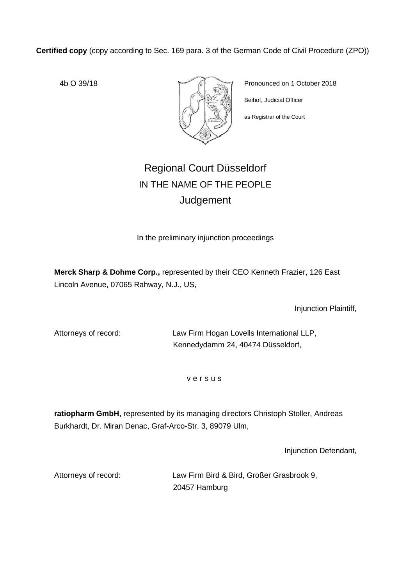**Certified copy** (copy according to Sec. 169 para. 3 of the German Code of Civil Procedure (ZPO))



4b O 39/18 **Pronounced on 1 October 2018** Beihof, Judicial Officer

as Registrar of the Court

# Regional Court Düsseldorf IN THE NAME OF THE PEOPLE Judgement

In the preliminary injunction proceedings

**Merck Sharp & Dohme Corp.,** represented by their CEO Kenneth Frazier, 126 East Lincoln Avenue, 07065 Rahway, N.J., US,

Injunction Plaintiff,

Attorneys of record: Law Firm Hogan Lovells International LLP, Kennedydamm 24, 40474 Düsseldorf,

v e r s u s

**ratiopharm GmbH,** represented by its managing directors Christoph Stoller, Andreas Burkhardt, Dr. Miran Denac, Graf-Arco-Str. 3, 89079 Ulm,

Injunction Defendant,

Attorneys of record: Law Firm Bird & Bird, Großer Grasbrook 9, 20457 Hamburg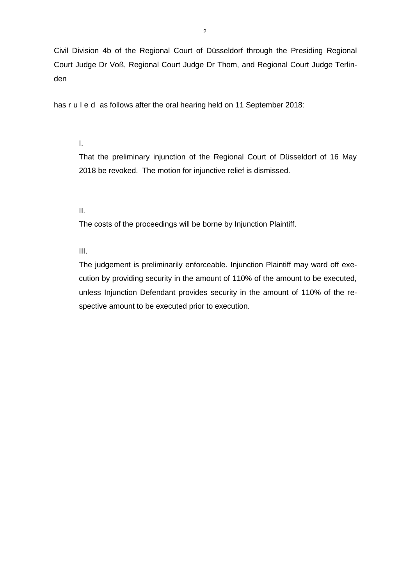Civil Division 4b of the Regional Court of Düsseldorf through the Presiding Regional Court Judge Dr Voß, Regional Court Judge Dr Thom, and Regional Court Judge Terlinden

has r u I e d as follows after the oral hearing held on 11 September 2018:

I.

That the preliminary injunction of the Regional Court of Düsseldorf of 16 May 2018 be revoked. The motion for injunctive relief is dismissed.

II.

The costs of the proceedings will be borne by Injunction Plaintiff.

III.

The judgement is preliminarily enforceable. Injunction Plaintiff may ward off execution by providing security in the amount of 110% of the amount to be executed, unless Injunction Defendant provides security in the amount of 110% of the respective amount to be executed prior to execution.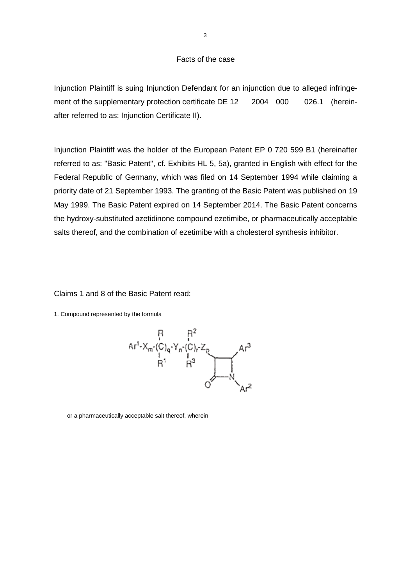## Facts of the case

Injunction Plaintiff is suing Injunction Defendant for an injunction due to alleged infringement of the supplementary protection certificate DE 12 2004 000 026.1 (hereinafter referred to as: Injunction Certificate II).

Injunction Plaintiff was the holder of the European Patent EP 0 720 599 B1 (hereinafter referred to as: "Basic Patent", cf. Exhibits HL 5, 5a), granted in English with effect for the Federal Republic of Germany, which was filed on 14 September 1994 while claiming a priority date of 21 September 1993. The granting of the Basic Patent was published on 19 May 1999. The Basic Patent expired on 14 September 2014. The Basic Patent concerns the hydroxy-substituted azetidinone compound ezetimibe, or pharmaceutically acceptable salts thereof, and the combination of ezetimibe with a cholesterol synthesis inhibitor.

Claims 1 and 8 of the Basic Patent read:

1. Compound represented by the formula



or a pharmaceutically acceptable salt thereof, wherein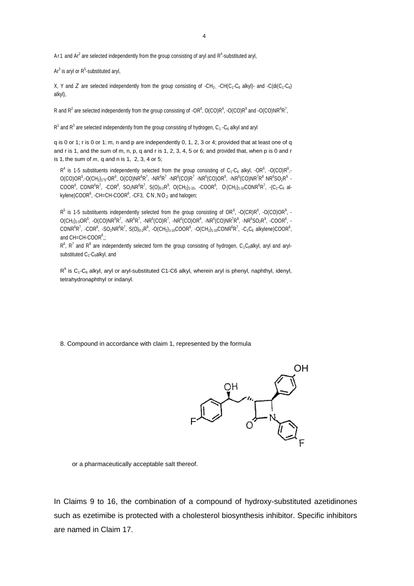Ar 1 and  $Ar^2$  are selected independently from the group consisting of aryl and  $R^4$ -substituted aryl,

 $Ar<sup>3</sup>$  is aryl or  $R<sup>5</sup>$ -substituted aryl,

X, Y and *Z* are selected independently from the group consisting of -CH<sub>2</sub>. -CH(C<sub>1</sub>-C<sub>6</sub> alkyl)- and -C(di(C<sub>1</sub>-C<sub>6</sub>) alkyl),

R and R<sup>2</sup> are selected independently from the group consisting of  $\cdot$ OR<sup>6</sup>, O(CO)R<sup>6</sup>, -O(CO)R<sup>9</sup> and -O(CO)NR<sup>6</sup>R<sup>7</sup>,

 $R<sup>1</sup>$  and  $R<sup>3</sup>$  are selected independently from the group consisting of hydrogen, C<sub>1</sub> -C<sub>6</sub> alkyl and aryl

q is 0 or 1; r is 0 or 1; m, n and p are independently 0, 1, 2, 3 or 4; provided that at least one of q and r is 1, and the sum of m, n, p, q and r is 1, 2, 3, 4, 5 or 6; and provided that, when p is 0 and r is 1, the sum of *m,* q and n is 1, 2, 3, 4 or 5;

 $R^4$  is 1-5 substituents independently selected from the group consisting of C<sub>1</sub>-C<sub>6</sub> alkyl, -OR<sup>6</sup>, -O(CO)R<sup>6</sup>,-O(CO)OR<sup>9</sup>,-O(CH<sub>2</sub>)<sub>1</sub>-<sub>5</sub>-OR<sup>6</sup>, O(CO)NR<sup>6</sup>R<sup>7</sup>, -NR<sup>6</sup>R<sup>7</sup> -NR<sup>6</sup>(CO)R<sup>7</sup> -NR<sup>6</sup>(CO)OR<sup>9</sup>, -NR<sup>6</sup>(CO)NR<sup>7</sup>R<sup>8</sup> NR<sup>6</sup>SO<sub>2</sub>R<sup>9</sup> - $\mathsf{COOR}^6$ ,  $\mathsf{CONR}^6\mathsf{R}^7$ ,  $\mathsf{-COR}^6$ ,  $\mathsf{SO}_2\mathsf{NR}^6\mathsf{R}^7$ ,  $\mathsf{S}(\mathsf{O})_{0\cdot 2}\mathsf{R}^9$ ,  $\mathsf{O}(\mathsf{CH}_2)_{1\cdot 10}$ ,  $\mathsf{-COOR}^6$ ,  $\mathsf{O}(\mathsf{CH}_2)_{1\cdot 10}\mathsf{CONR}^6\mathsf{R}^7$ ,  $\mathsf{-}(\mathsf{C}_1\mathsf{-} \mathsf{C}_6$  alkylene)COOR $^6$ , -CH=CH-COOR $^6$ , -CF3,  $\text{CN}$ , NO<sub>2</sub> and halogen;

 $R^5$  is 1-5 substituents independently selected from the group consisting of OR<sup>6</sup>, -O(CR)R<sup>6</sup>, -O(CO)OR<sup>9</sup>, -O(CH $_2$ )1-5OR $^6$ , -O(CO)NR $^6$ R $^7$ , -NR $^6$ R $^7$ , -NR $^6$ (CO)R $^7$ , -NR $^6$ (CO)OR $^9$ , -NR $^6$ K $^8$ , -NR $^6$ SO $_2$ R $^9$ , -COOR $^6$ , - $\mathsf{CONR}^6R^7$ , -COR $^6$ , -SO $_2$ NR $^6R^7$ , S(O) $_{0\cdot 2}$ R $^9$ , -O(CH $_{2}$ ) $_{1\cdot 10}$ COOR $^6$ , -O(CH $_{2}$ ) $_{1\cdot 10}$ CONR $^6R^7$ , -C $_1$ C $_6$  alkylene)COOR $^6$ , and CH=CH-COOR $6$ ;

 $R^6$ ,  $R^7$  and  $R^8$  are independently selected form the group consisting of hydrogen, C<sub>1</sub>C<sub>6</sub>alkyl, aryl and arylsubstituted C<sub>1</sub>-C<sub>6</sub>alkyl, and

 $R^9$  is C<sub>1</sub>-C<sub>6</sub> alkyl, aryl or aryl-substituted C1-C6 alkyl, wherein aryl is phenyl, naphthyl, idenyl, tetrahydronaphthyl or indanyl.

8. Compound in accordance with claim 1, represented by the formula



or a pharmaceutically acceptable salt thereof.

In Claims 9 to 16, the combination of a compound of hydroxy-substituted azetidinones such as ezetimibe is protected with a cholesterol biosynthesis inhibitor. Specific inhibitors are named in Claim 17.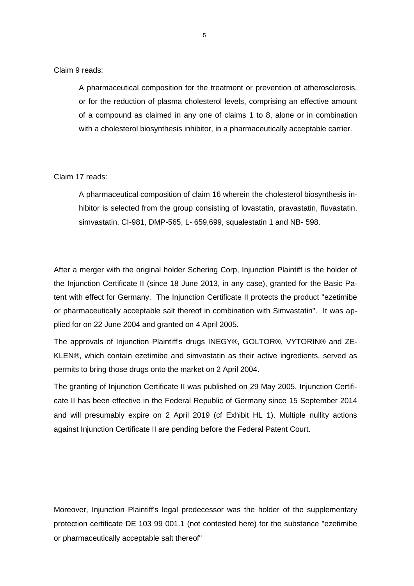Claim 9 reads:

A pharmaceutical composition for the treatment or prevention of atherosclerosis, or for the reduction of plasma cholesterol levels, comprising an effective amount of a compound as claimed in any one of claims 1 to 8, alone or in combination with a cholesterol biosynthesis inhibitor, in a pharmaceutically acceptable carrier.

## Claim 17 reads:

A pharmaceutical composition of claim 16 wherein the cholesterol biosynthesis inhibitor is selected from the group consisting of lovastatin, pravastatin, fluvastatin, simvastatin, CI-981, DMP-565, L- 659,699, squalestatin 1 and NB- 598.

After a merger with the original holder Schering Corp, Injunction Plaintiff is the holder of the Injunction Certificate II (since 18 June 2013, in any case), granted for the Basic Patent with effect for Germany. The Injunction Certificate II protects the product "ezetimibe or pharmaceutically acceptable salt thereof in combination with Simvastatin". It was applied for on 22 June 2004 and granted on 4 April 2005.

The approvals of Injunction Plaintiff's drugs INEGY®, GOLTOR®, VYTORIN® and ZE-KLEN®, which contain ezetimibe and simvastatin as their active ingredients, served as permits to bring those drugs onto the market on 2 April 2004.

The granting of Injunction Certificate II was published on 29 May 2005. Injunction Certificate II has been effective in the Federal Republic of Germany since 15 September 2014 and will presumably expire on 2 April 2019 (cf Exhibit HL 1). Multiple nullity actions against Injunction Certificate II are pending before the Federal Patent Court.

Moreover, Injunction Plaintiff's legal predecessor was the holder of the supplementary protection certificate DE 103 99 001.1 (not contested here) for the substance "ezetimibe or pharmaceutically acceptable salt thereof"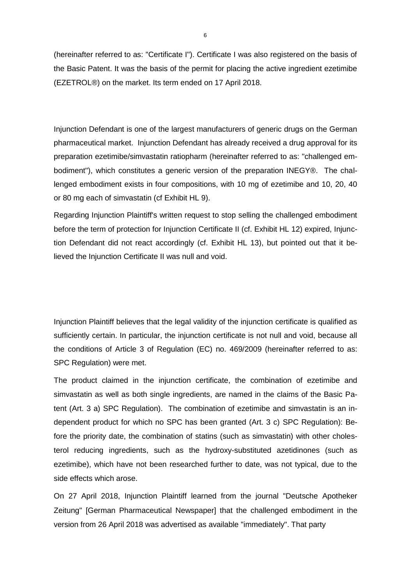(hereinafter referred to as: "Certificate I"). Certificate I was also registered on the basis of the Basic Patent. It was the basis of the permit for placing the active ingredient ezetimibe (EZETROL®) on the market. Its term ended on 17 April 2018.

Injunction Defendant is one of the largest manufacturers of generic drugs on the German pharmaceutical market. Injunction Defendant has already received a drug approval for its preparation ezetimibe/simvastatin ratiopharm (hereinafter referred to as: "challenged embodiment"), which constitutes a generic version of the preparation INEGY®. The challenged embodiment exists in four compositions, with 10 mg of ezetimibe and 10, 20, 40 or 80 mg each of simvastatin (cf Exhibit HL 9).

Regarding Injunction Plaintiff's written request to stop selling the challenged embodiment before the term of protection for Injunction Certificate II (cf. Exhibit HL 12) expired, Injunction Defendant did not react accordingly (cf. Exhibit HL 13), but pointed out that it believed the Injunction Certificate II was null and void.

Injunction Plaintiff believes that the legal validity of the injunction certificate is qualified as sufficiently certain. In particular, the injunction certificate is not null and void, because all the conditions of Article 3 of Regulation (EC) no. 469/2009 (hereinafter referred to as: SPC Regulation) were met.

The product claimed in the injunction certificate, the combination of ezetimibe and simvastatin as well as both single ingredients, are named in the claims of the Basic Patent (Art. 3 a) SPC Regulation). The combination of ezetimibe and simvastatin is an independent product for which no SPC has been granted (Art. 3 c) SPC Regulation): Before the priority date, the combination of statins (such as simvastatin) with other cholesterol reducing ingredients, such as the hydroxy-substituted azetidinones (such as ezetimibe), which have not been researched further to date, was not typical, due to the side effects which arose.

On 27 April 2018, Injunction Plaintiff learned from the journal "Deutsche Apotheker Zeitung" [German Pharmaceutical Newspaper] that the challenged embodiment in the version from 26 April 2018 was advertised as available "immediately". That party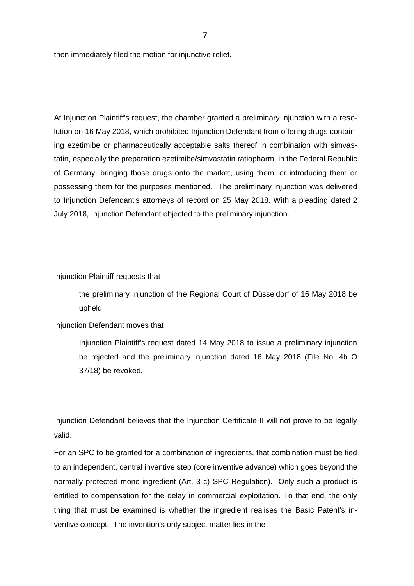then immediately filed the motion for injunctive relief.

At Injunction Plaintiff's request, the chamber granted a preliminary injunction with a resolution on 16 May 2018, which prohibited Injunction Defendant from offering drugs containing ezetimibe or pharmaceutically acceptable salts thereof in combination with simvastatin, especially the preparation ezetimibe/simvastatin ratiopharm, in the Federal Republic of Germany, bringing those drugs onto the market, using them, or introducing them or possessing them for the purposes mentioned. The preliminary injunction was delivered to Injunction Defendant's attorneys of record on 25 May 2018. With a pleading dated 2 July 2018, Injunction Defendant objected to the preliminary injunction.

#### Injunction Plaintiff requests that

the preliminary injunction of the Regional Court of Düsseldorf of 16 May 2018 be upheld.

## Injunction Defendant moves that

Injunction Plaintiff's request dated 14 May 2018 to issue a preliminary injunction be rejected and the preliminary injunction dated 16 May 2018 (File No. 4b O 37/18) be revoked.

Injunction Defendant believes that the Injunction Certificate II will not prove to be legally valid.

For an SPC to be granted for a combination of ingredients, that combination must be tied to an independent, central inventive step (core inventive advance) which goes beyond the normally protected mono-ingredient (Art. 3 c) SPC Regulation). Only such a product is entitled to compensation for the delay in commercial exploitation. To that end, the only thing that must be examined is whether the ingredient realises the Basic Patent's inventive concept. The invention's only subject matter lies in the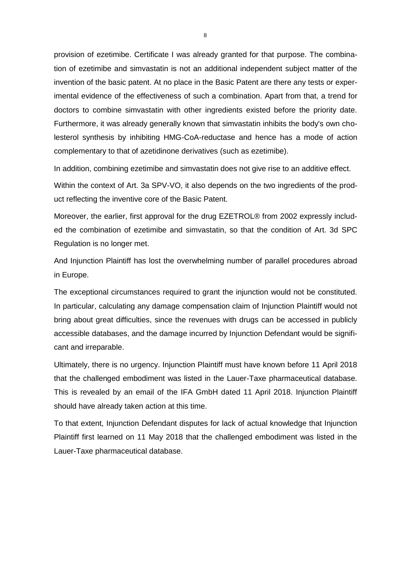provision of ezetimibe. Certificate I was already granted for that purpose. The combination of ezetimibe and simvastatin is not an additional independent subject matter of the invention of the basic patent. At no place in the Basic Patent are there any tests or experimental evidence of the effectiveness of such a combination. Apart from that, a trend for doctors to combine simvastatin with other ingredients existed before the priority date. Furthermore, it was already generally known that simvastatin inhibits the body's own cholesterol synthesis by inhibiting HMG-CoA-reductase and hence has a mode of action complementary to that of azetidinone derivatives (such as ezetimibe).

In addition, combining ezetimibe and simvastatin does not give rise to an additive effect.

Within the context of Art. 3a SPV-VO, it also depends on the two ingredients of the product reflecting the inventive core of the Basic Patent.

Moreover, the earlier, first approval for the drug EZETROL® from 2002 expressly included the combination of ezetimibe and simvastatin, so that the condition of Art. 3d SPC Regulation is no longer met.

And Injunction Plaintiff has lost the overwhelming number of parallel procedures abroad in Europe.

The exceptional circumstances required to grant the injunction would not be constituted. In particular, calculating any damage compensation claim of Injunction Plaintiff would not bring about great difficulties, since the revenues with drugs can be accessed in publicly accessible databases, and the damage incurred by Injunction Defendant would be significant and irreparable.

Ultimately, there is no urgency. Injunction Plaintiff must have known before 11 April 2018 that the challenged embodiment was listed in the Lauer-Taxe pharmaceutical database. This is revealed by an email of the IFA GmbH dated 11 April 2018. Injunction Plaintiff should have already taken action at this time.

To that extent, Injunction Defendant disputes for lack of actual knowledge that Injunction Plaintiff first learned on 11 May 2018 that the challenged embodiment was listed in the Lauer-Taxe pharmaceutical database.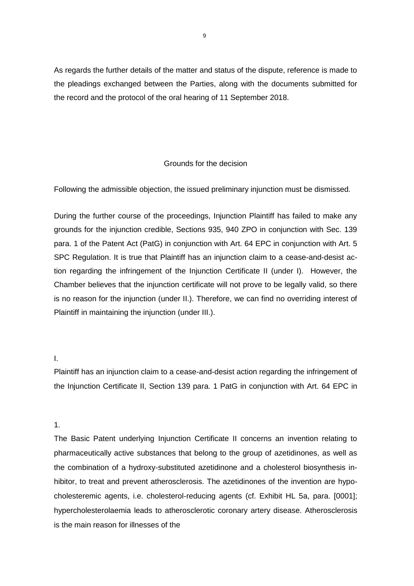As regards the further details of the matter and status of the dispute, reference is made to the pleadings exchanged between the Parties, along with the documents submitted for the record and the protocol of the oral hearing of 11 September 2018.

# Grounds for the decision

Following the admissible objection, the issued preliminary injunction must be dismissed.

During the further course of the proceedings, Injunction Plaintiff has failed to make any grounds for the injunction credible, Sections 935, 940 ZPO in conjunction with Sec. 139 para. 1 of the Patent Act (PatG) in conjunction with Art. 64 EPC in conjunction with Art. 5 SPC Regulation. It is true that Plaintiff has an injunction claim to a cease-and-desist action regarding the infringement of the Injunction Certificate II (under I). However, the Chamber believes that the injunction certificate will not prove to be legally valid, so there is no reason for the injunction (under II.). Therefore, we can find no overriding interest of Plaintiff in maintaining the injunction (under III.).

# I.

Plaintiff has an injunction claim to a cease-and-desist action regarding the infringement of the Injunction Certificate II, Section 139 para. 1 PatG in conjunction with Art. 64 EPC in

# 1.

The Basic Patent underlying Injunction Certificate II concerns an invention relating to pharmaceutically active substances that belong to the group of azetidinones, as well as the combination of a hydroxy-substituted azetidinone and a cholesterol biosynthesis inhibitor, to treat and prevent atherosclerosis. The azetidinones of the invention are hypocholesteremic agents, i.e. cholesterol-reducing agents (cf. Exhibit HL 5a, para. [0001]; hypercholesterolaemia leads to atherosclerotic coronary artery disease. Atherosclerosis is the main reason for illnesses of the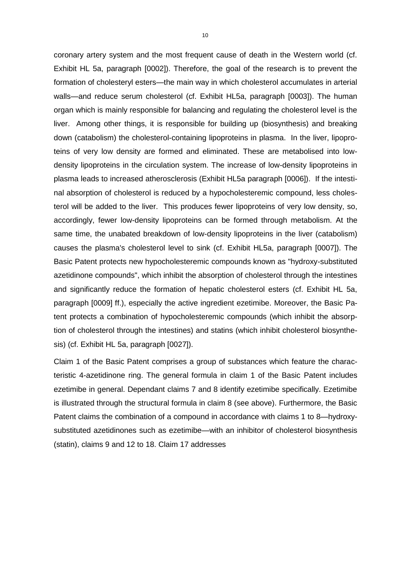coronary artery system and the most frequent cause of death in the Western world (cf. Exhibit HL 5a, paragraph [0002]). Therefore, the goal of the research is to prevent the formation of cholesteryl esters—the main way in which cholesterol accumulates in arterial walls—and reduce serum cholesterol (cf. Exhibit HL5a, paragraph [0003]). The human organ which is mainly responsible for balancing and regulating the cholesterol level is the liver. Among other things, it is responsible for building up (biosynthesis) and breaking down (catabolism) the cholesterol-containing lipoproteins in plasma. In the liver, lipoproteins of very low density are formed and eliminated. These are metabolised into lowdensity lipoproteins in the circulation system. The increase of low-density lipoproteins in plasma leads to increased atherosclerosis (Exhibit HL5a paragraph [0006]). If the intestinal absorption of cholesterol is reduced by a hypocholesteremic compound, less cholesterol will be added to the liver. This produces fewer lipoproteins of very low density, so, accordingly, fewer low-density lipoproteins can be formed through metabolism. At the same time, the unabated breakdown of low-density lipoproteins in the liver (catabolism) causes the plasma's cholesterol level to sink (cf. Exhibit HL5a, paragraph [0007]). The Basic Patent protects new hypocholesteremic compounds known as "hydroxy-substituted azetidinone compounds", which inhibit the absorption of cholesterol through the intestines and significantly reduce the formation of hepatic cholesterol esters (cf. Exhibit HL 5a, paragraph [0009] ff.), especially the active ingredient ezetimibe. Moreover, the Basic Patent protects a combination of hypocholesteremic compounds (which inhibit the absorption of cholesterol through the intestines) and statins (which inhibit cholesterol biosynthesis) (cf. Exhibit HL 5a, paragraph [0027]).

Claim 1 of the Basic Patent comprises a group of substances which feature the characteristic 4-azetidinone ring. The general formula in claim 1 of the Basic Patent includes ezetimibe in general. Dependant claims 7 and 8 identify ezetimibe specifically. Ezetimibe is illustrated through the structural formula in claim 8 (see above). Furthermore, the Basic Patent claims the combination of a compound in accordance with claims 1 to 8—hydroxysubstituted azetidinones such as ezetimibe—with an inhibitor of cholesterol biosynthesis (statin), claims 9 and 12 to 18. Claim 17 addresses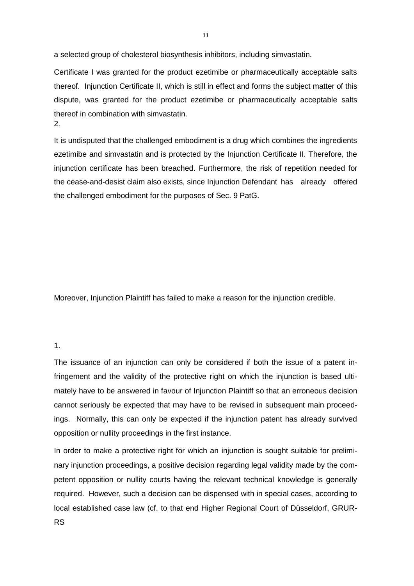a selected group of cholesterol biosynthesis inhibitors, including simvastatin.

Certificate I was granted for the product ezetimibe or pharmaceutically acceptable salts thereof. Injunction Certificate II, which is still in effect and forms the subject matter of this dispute, was granted for the product ezetimibe or pharmaceutically acceptable salts thereof in combination with simvastatin. 2.

It is undisputed that the challenged embodiment is a drug which combines the ingredients ezetimibe and simvastatin and is protected by the Injunction Certificate II. Therefore, the injunction certificate has been breached. Furthermore, the risk of repetition needed for the cease-and-desist claim also exists, since Injunction Defendant has already offered the challenged embodiment for the purposes of Sec. 9 PatG.

Moreover, Injunction Plaintiff has failed to make a reason for the injunction credible.

#### 1.

The issuance of an injunction can only be considered if both the issue of a patent infringement and the validity of the protective right on which the injunction is based ultimately have to be answered in favour of Injunction Plaintiff so that an erroneous decision cannot seriously be expected that may have to be revised in subsequent main proceedings. Normally, this can only be expected if the injunction patent has already survived opposition or nullity proceedings in the first instance.

In order to make a protective right for which an injunction is sought suitable for preliminary injunction proceedings, a positive decision regarding legal validity made by the competent opposition or nullity courts having the relevant technical knowledge is generally required. However, such a decision can be dispensed with in special cases, according to local established case law (cf. to that end Higher Regional Court of Düsseldorf, GRUR-RS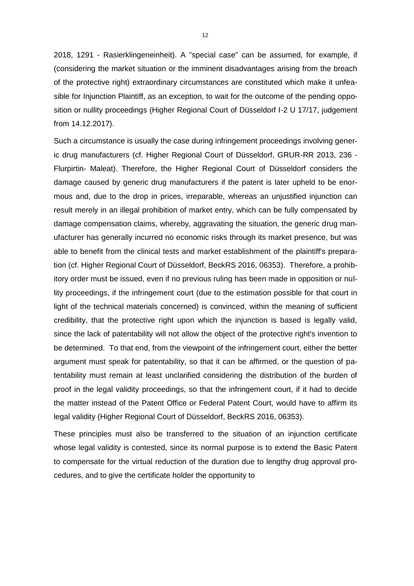2018, 1291 - Rasierklingeneinheit). A "special case" can be assumed, for example, if (considering the market situation or the imminent disadvantages arising from the breach of the protective right) extraordinary circumstances are constituted which make it unfeasible for Injunction Plaintiff, as an exception, to wait for the outcome of the pending opposition or nullity proceedings (Higher Regional Court of Düsseldorf I-2 U 17/17, judgement from 14.12.2017).

Such a circumstance is usually the case during infringement proceedings involving generic drug manufacturers (cf. Higher Regional Court of Düsseldorf, GRUR-RR 2013, 236 - Flurpirtin- Maleat). Therefore, the Higher Regional Court of Düsseldorf considers the damage caused by generic drug manufacturers if the patent is later upheld to be enormous and, due to the drop in prices, irreparable, whereas an unjustified injunction can result merely in an illegal prohibition of market entry, which can be fully compensated by damage compensation claims, whereby, aggravating the situation, the generic drug manufacturer has generally incurred no economic risks through its market presence, but was able to benefit from the clinical tests and market establishment of the plaintiff's preparation (cf. Higher Regional Court of Düsseldorf, BeckRS 2016, 06353). Therefore, a prohibitory order must be issued, even if no previous ruling has been made in opposition or nullity proceedings, if the infringement court (due to the estimation possible for that court in light of the technical materials concerned) is convinced, within the meaning of sufficient credibility, that the protective right upon which the injunction is based is legally valid, since the lack of patentability will not allow the object of the protective right's invention to be determined. To that end, from the viewpoint of the infringement court, either the better argument must speak for patentability, so that it can be affirmed, or the question of patentability must remain at least unclarified considering the distribution of the burden of proof in the legal validity proceedings, so that the infringement court, if it had to decide the matter instead of the Patent Office or Federal Patent Court, would have to affirm its legal validity (Higher Regional Court of Düsseldorf, BeckRS 2016, 06353).

These principles must also be transferred to the situation of an injunction certificate whose legal validity is contested, since its normal purpose is to extend the Basic Patent to compensate for the virtual reduction of the duration due to lengthy drug approval procedures, and to give the certificate holder the opportunity to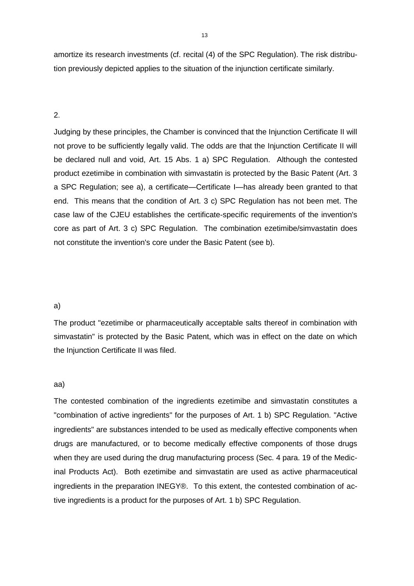amortize its research investments (cf. recital (4) of the SPC Regulation). The risk distribution previously depicted applies to the situation of the injunction certificate similarly.

# 2.

Judging by these principles, the Chamber is convinced that the Injunction Certificate II will not prove to be sufficiently legally valid. The odds are that the Injunction Certificate II will be declared null and void, Art. 15 Abs. 1 a) SPC Regulation. Although the contested product ezetimibe in combination with simvastatin is protected by the Basic Patent (Art. 3 a SPC Regulation; see a), a certificate—Certificate I—has already been granted to that end. This means that the condition of Art. 3 c) SPC Regulation has not been met. The case law of the CJEU establishes the certificate-specific requirements of the invention's core as part of Art. 3 c) SPC Regulation. The combination ezetimibe/simvastatin does not constitute the invention's core under the Basic Patent (see b).

#### a)

The product "ezetimibe or pharmaceutically acceptable salts thereof in combination with simvastatin" is protected by the Basic Patent, which was in effect on the date on which the Injunction Certificate II was filed.

### aa)

The contested combination of the ingredients ezetimibe and simvastatin constitutes a "combination of active ingredients" for the purposes of Art. 1 b) SPC Regulation. "Active ingredients" are substances intended to be used as medically effective components when drugs are manufactured, or to become medically effective components of those drugs when they are used during the drug manufacturing process (Sec. 4 para. 19 of the Medicinal Products Act). Both ezetimibe and simvastatin are used as active pharmaceutical ingredients in the preparation INEGY®. To this extent, the contested combination of active ingredients is a product for the purposes of Art. 1 b) SPC Regulation.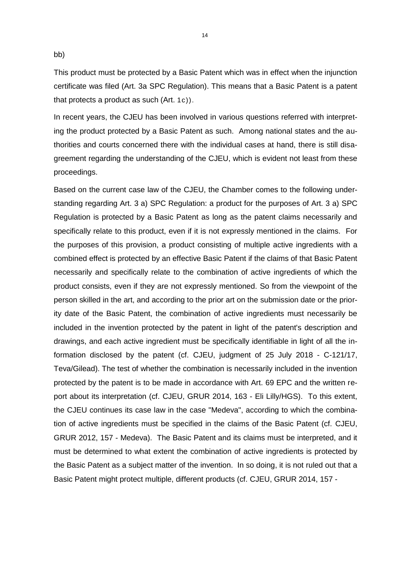bb)

This product must be protected by a Basic Patent which was in effect when the injunction certificate was filed (Art. 3a SPC Regulation). This means that a Basic Patent is a patent that protects a product as such (Art. 1c)).

In recent years, the CJEU has been involved in various questions referred with interpreting the product protected by a Basic Patent as such. Among national states and the authorities and courts concerned there with the individual cases at hand, there is still disagreement regarding the understanding of the CJEU, which is evident not least from these proceedings.

Based on the current case law of the CJEU, the Chamber comes to the following understanding regarding Art. 3 a) SPC Regulation: a product for the purposes of Art. 3 a) SPC Regulation is protected by a Basic Patent as long as the patent claims necessarily and specifically relate to this product, even if it is not expressly mentioned in the claims. For the purposes of this provision, a product consisting of multiple active ingredients with a combined effect is protected by an effective Basic Patent if the claims of that Basic Patent necessarily and specifically relate to the combination of active ingredients of which the product consists, even if they are not expressly mentioned. So from the viewpoint of the person skilled in the art, and according to the prior art on the submission date or the priority date of the Basic Patent, the combination of active ingredients must necessarily be included in the invention protected by the patent in light of the patent's description and drawings, and each active ingredient must be specifically identifiable in light of all the information disclosed by the patent (cf. CJEU, judgment of 25 July 2018 - C-121/17, Teva/Gilead). The test of whether the combination is necessarily included in the invention protected by the patent is to be made in accordance with Art. 69 EPC and the written report about its interpretation (cf. CJEU, GRUR 2014, 163 - Eli Lilly/HGS). To this extent, the CJEU continues its case law in the case "Medeva", according to which the combination of active ingredients must be specified in the claims of the Basic Patent (cf. CJEU, GRUR 2012, 157 - Medeva). The Basic Patent and its claims must be interpreted, and it must be determined to what extent the combination of active ingredients is protected by the Basic Patent as a subject matter of the invention. In so doing, it is not ruled out that a Basic Patent might protect multiple, different products (cf. CJEU, GRUR 2014, 157 -

14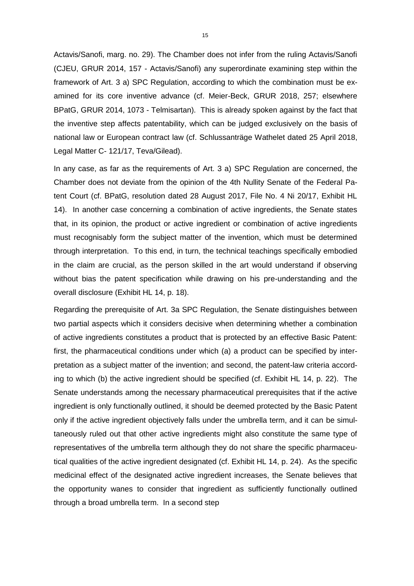Actavis/Sanofi, marg. no. 29). The Chamber does not infer from the ruling Actavis/Sanofi (CJEU, GRUR 2014, 157 - Actavis/Sanofi) any superordinate examining step within the framework of Art. 3 a) SPC Regulation, according to which the combination must be examined for its core inventive advance (cf. Meier-Beck, GRUR 2018, 257; elsewhere BPatG, GRUR 2014, 1073 - Telmisartan). This is already spoken against by the fact that the inventive step affects patentability, which can be judged exclusively on the basis of national law or European contract law (cf. Schlussanträge Wathelet dated 25 April 2018, Legal Matter C- 121/17, Teva/Gilead).

In any case, as far as the requirements of Art. 3 a) SPC Regulation are concerned, the Chamber does not deviate from the opinion of the 4th Nullity Senate of the Federal Patent Court (cf. BPatG, resolution dated 28 August 2017, File No. 4 Ni 20/17, Exhibit HL 14). In another case concerning a combination of active ingredients, the Senate states that, in its opinion, the product or active ingredient or combination of active ingredients must recognisably form the subject matter of the invention, which must be determined through interpretation. To this end, in turn, the technical teachings specifically embodied in the claim are crucial, as the person skilled in the art would understand if observing without bias the patent specification while drawing on his pre-understanding and the overall disclosure (Exhibit HL 14, p. 18).

Regarding the prerequisite of Art. 3a SPC Regulation, the Senate distinguishes between two partial aspects which it considers decisive when determining whether a combination of active ingredients constitutes a product that is protected by an effective Basic Patent: first, the pharmaceutical conditions under which (a) a product can be specified by interpretation as a subject matter of the invention; and second, the patent-law criteria according to which (b) the active ingredient should be specified (cf. Exhibit HL 14, p. 22). The Senate understands among the necessary pharmaceutical prerequisites that if the active ingredient is only functionally outlined, it should be deemed protected by the Basic Patent only if the active ingredient objectively falls under the umbrella term, and it can be simultaneously ruled out that other active ingredients might also constitute the same type of representatives of the umbrella term although they do not share the specific pharmaceutical qualities of the active ingredient designated (cf. Exhibit HL 14, p. 24). As the specific medicinal effect of the designated active ingredient increases, the Senate believes that the opportunity wanes to consider that ingredient as sufficiently functionally outlined through a broad umbrella term. In a second step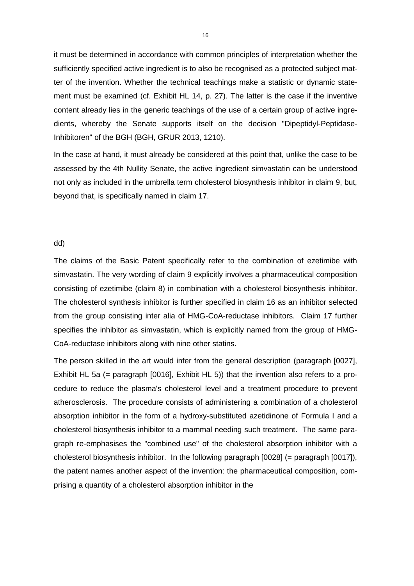it must be determined in accordance with common principles of interpretation whether the sufficiently specified active ingredient is to also be recognised as a protected subject matter of the invention. Whether the technical teachings make a statistic or dynamic statement must be examined (cf. Exhibit HL 14, p. 27). The latter is the case if the inventive content already lies in the generic teachings of the use of a certain group of active ingredients, whereby the Senate supports itself on the decision "Dipeptidyl-Peptidase-Inhibitoren" of the BGH (BGH, GRUR 2013, 1210).

In the case at hand, it must already be considered at this point that, unlike the case to be assessed by the 4th Nullity Senate, the active ingredient simvastatin can be understood not only as included in the umbrella term cholesterol biosynthesis inhibitor in claim 9, but, beyond that, is specifically named in claim 17.

## dd)

The claims of the Basic Patent specifically refer to the combination of ezetimibe with simvastatin. The very wording of claim 9 explicitly involves a pharmaceutical composition consisting of ezetimibe (claim 8) in combination with a cholesterol biosynthesis inhibitor. The cholesterol synthesis inhibitor is further specified in claim 16 as an inhibitor selected from the group consisting inter alia of HMG-CoA-reductase inhibitors. Claim 17 further specifies the inhibitor as simvastatin, which is explicitly named from the group of HMG-CoA-reductase inhibitors along with nine other statins.

The person skilled in the art would infer from the general description (paragraph [0027], Exhibit HL 5a (= paragraph [0016], Exhibit HL 5)) that the invention also refers to a procedure to reduce the plasma's cholesterol level and a treatment procedure to prevent atherosclerosis. The procedure consists of administering a combination of a cholesterol absorption inhibitor in the form of a hydroxy-substituted azetidinone of Formula I and a cholesterol biosynthesis inhibitor to a mammal needing such treatment. The same paragraph re-emphasises the "combined use" of the cholesterol absorption inhibitor with a cholesterol biosynthesis inhibitor. In the following paragraph [0028] (= paragraph [0017]), the patent names another aspect of the invention: the pharmaceutical composition, comprising a quantity of a cholesterol absorption inhibitor in the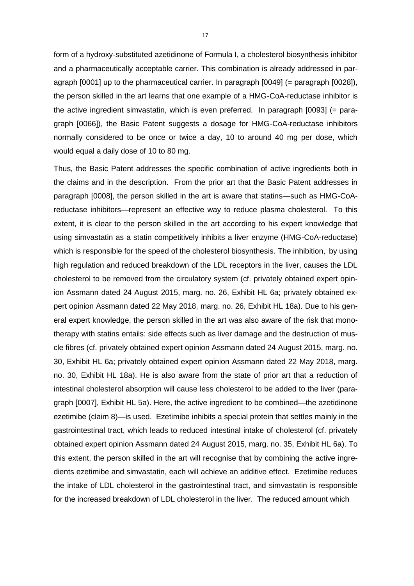form of a hydroxy-substituted azetidinone of Formula I, a cholesterol biosynthesis inhibitor and a pharmaceutically acceptable carrier. This combination is already addressed in paragraph [0001] up to the pharmaceutical carrier. In paragraph [0049] (= paragraph [0028]), the person skilled in the art learns that one example of a HMG-CoA-reductase inhibitor is the active ingredient simvastatin, which is even preferred. In paragraph [0093] (= paragraph [0066]), the Basic Patent suggests a dosage for HMG-CoA-reductase inhibitors normally considered to be once or twice a day, 10 to around 40 mg per dose, which would equal a daily dose of 10 to 80 mg.

Thus, the Basic Patent addresses the specific combination of active ingredients both in the claims and in the description. From the prior art that the Basic Patent addresses in paragraph [0008], the person skilled in the art is aware that statins—such as HMG-CoAreductase inhibitors—represent an effective way to reduce plasma cholesterol. To this extent, it is clear to the person skilled in the art according to his expert knowledge that using simvastatin as a statin competitively inhibits a liver enzyme (HMG-CoA-reductase) which is responsible for the speed of the cholesterol biosynthesis. The inhibition, by using high regulation and reduced breakdown of the LDL receptors in the liver, causes the LDL cholesterol to be removed from the circulatory system (cf. privately obtained expert opinion Assmann dated 24 August 2015, marg. no. 26, Exhibit HL 6a; privately obtained expert opinion Assmann dated 22 May 2018, marg. no. 26, Exhibit HL 18a). Due to his general expert knowledge, the person skilled in the art was also aware of the risk that monotherapy with statins entails: side effects such as liver damage and the destruction of muscle fibres (cf. privately obtained expert opinion Assmann dated 24 August 2015, marg. no. 30, Exhibit HL 6a; privately obtained expert opinion Assmann dated 22 May 2018, marg. no. 30, Exhibit HL 18a). He is also aware from the state of prior art that a reduction of intestinal cholesterol absorption will cause less cholesterol to be added to the liver (paragraph [0007], Exhibit HL 5a). Here, the active ingredient to be combined—the azetidinone ezetimibe (claim 8)—is used. Ezetimibe inhibits a special protein that settles mainly in the gastrointestinal tract, which leads to reduced intestinal intake of cholesterol (cf. privately obtained expert opinion Assmann dated 24 August 2015, marg. no. 35, Exhibit HL 6a). To this extent, the person skilled in the art will recognise that by combining the active ingredients ezetimibe and simvastatin, each will achieve an additive effect. Ezetimibe reduces the intake of LDL cholesterol in the gastrointestinal tract, and simvastatin is responsible for the increased breakdown of LDL cholesterol in the liver. The reduced amount which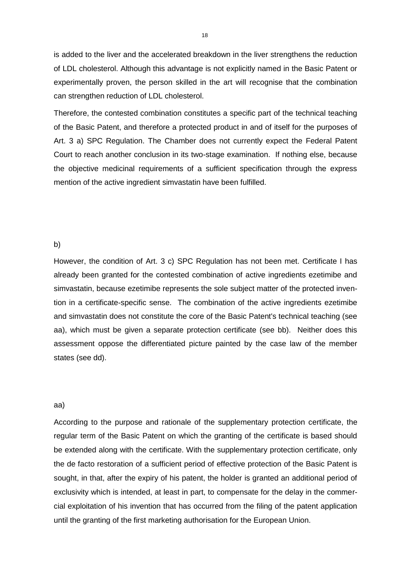is added to the liver and the accelerated breakdown in the liver strengthens the reduction of LDL cholesterol. Although this advantage is not explicitly named in the Basic Patent or experimentally proven, the person skilled in the art will recognise that the combination can strengthen reduction of LDL cholesterol.

Therefore, the contested combination constitutes a specific part of the technical teaching of the Basic Patent, and therefore a protected product in and of itself for the purposes of Art. 3 a) SPC Regulation. The Chamber does not currently expect the Federal Patent Court to reach another conclusion in its two-stage examination. If nothing else, because the objective medicinal requirements of a sufficient specification through the express mention of the active ingredient simvastatin have been fulfilled.

#### b)

However, the condition of Art. 3 c) SPC Regulation has not been met. Certificate I has already been granted for the contested combination of active ingredients ezetimibe and simvastatin, because ezetimibe represents the sole subject matter of the protected invention in a certificate-specific sense. The combination of the active ingredients ezetimibe and simvastatin does not constitute the core of the Basic Patent's technical teaching (see aa), which must be given a separate protection certificate (see bb). Neither does this assessment oppose the differentiated picture painted by the case law of the member states (see dd).

#### aa)

According to the purpose and rationale of the supplementary protection certificate, the regular term of the Basic Patent on which the granting of the certificate is based should be extended along with the certificate. With the supplementary protection certificate, only the de facto restoration of a sufficient period of effective protection of the Basic Patent is sought, in that, after the expiry of his patent, the holder is granted an additional period of exclusivity which is intended, at least in part, to compensate for the delay in the commercial exploitation of his invention that has occurred from the filing of the patent application until the granting of the first marketing authorisation for the European Union.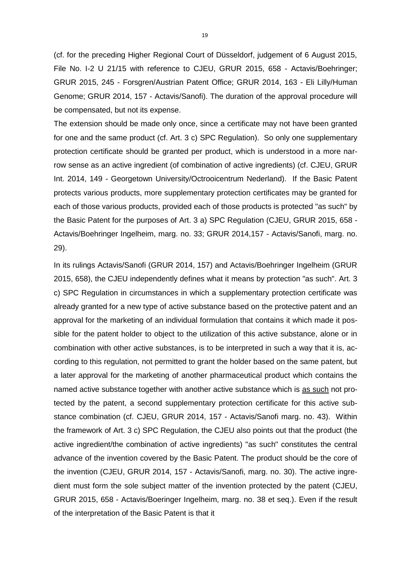(cf. for the preceding Higher Regional Court of Düsseldorf, judgement of 6 August 2015, File No. I-2 U 21/15 with reference to CJEU, GRUR 2015, 658 - Actavis/Boehringer; GRUR 2015, 245 - Forsgren/Austrian Patent Office; GRUR 2014, 163 - Eli Lilly/Human Genome; GRUR 2014, 157 - Actavis/Sanofi). The duration of the approval procedure will be compensated, but not its expense.

The extension should be made only once, since a certificate may not have been granted for one and the same product (cf. Art. 3 c) SPC Regulation). So only one supplementary protection certificate should be granted per product, which is understood in a more narrow sense as an active ingredient (of combination of active ingredients) (cf. CJEU, GRUR Int. 2014, 149 - Georgetown University/Octrooicentrum Nederland). If the Basic Patent protects various products, more supplementary protection certificates may be granted for each of those various products, provided each of those products is protected "as such" by the Basic Patent for the purposes of Art. 3 a) SPC Regulation (CJEU, GRUR 2015, 658 - Actavis/Boehringer Ingelheim, marg. no. 33; GRUR 2014,157 - Actavis/Sanofi, marg. no. 29).

In its rulings Actavis/Sanofi (GRUR 2014, 157) and Actavis/Boehringer Ingelheim (GRUR 2015, 658), the CJEU independently defines what it means by protection "as such". Art. 3 c) SPC Regulation in circumstances in which a supplementary protection certificate was already granted for a new type of active substance based on the protective patent and an approval for the marketing of an individual formulation that contains it which made it possible for the patent holder to object to the utilization of this active substance, alone or in combination with other active substances, is to be interpreted in such a way that it is, according to this regulation, not permitted to grant the holder based on the same patent, but a later approval for the marketing of another pharmaceutical product which contains the named active substance together with another active substance which is as such not protected by the patent, a second supplementary protection certificate for this active substance combination (cf. CJEU, GRUR 2014, 157 - Actavis/Sanofi marg. no. 43). Within the framework of Art. 3 c) SPC Regulation, the CJEU also points out that the product (the active ingredient/the combination of active ingredients) "as such" constitutes the central advance of the invention covered by the Basic Patent. The product should be the core of the invention (CJEU, GRUR 2014, 157 - Actavis/Sanofi, marg. no. 30). The active ingredient must form the sole subject matter of the invention protected by the patent (CJEU, GRUR 2015, 658 - Actavis/Boeringer Ingelheim, marg. no. 38 et seq.). Even if the result of the interpretation of the Basic Patent is that it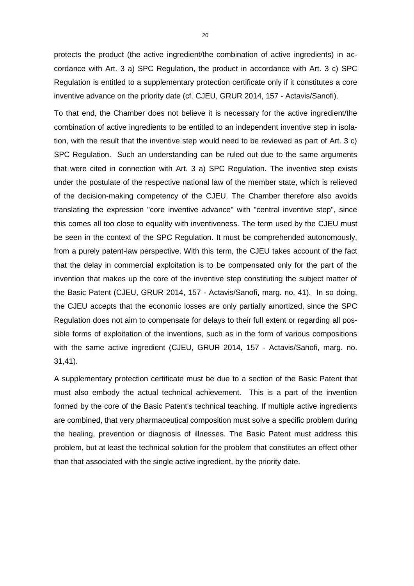protects the product (the active ingredient/the combination of active ingredients) in accordance with Art. 3 a) SPC Regulation, the product in accordance with Art. 3 c) SPC Regulation is entitled to a supplementary protection certificate only if it constitutes a core inventive advance on the priority date (cf. CJEU, GRUR 2014, 157 - Actavis/Sanofi).

To that end, the Chamber does not believe it is necessary for the active ingredient/the combination of active ingredients to be entitled to an independent inventive step in isolation, with the result that the inventive step would need to be reviewed as part of Art. 3 c) SPC Regulation. Such an understanding can be ruled out due to the same arguments that were cited in connection with Art. 3 a) SPC Regulation. The inventive step exists under the postulate of the respective national law of the member state, which is relieved of the decision-making competency of the CJEU. The Chamber therefore also avoids translating the expression "core inventive advance" with "central inventive step", since this comes all too close to equality with inventiveness. The term used by the CJEU must be seen in the context of the SPC Regulation. It must be comprehended autonomously, from a purely patent-law perspective. With this term, the CJEU takes account of the fact that the delay in commercial exploitation is to be compensated only for the part of the invention that makes up the core of the inventive step constituting the subject matter of the Basic Patent (CJEU, GRUR 2014, 157 - Actavis/Sanofi, marg. no. 41). In so doing, the CJEU accepts that the economic losses are only partially amortized, since the SPC Regulation does not aim to compensate for delays to their full extent or regarding all possible forms of exploitation of the inventions, such as in the form of various compositions with the same active ingredient (CJEU, GRUR 2014, 157 - Actavis/Sanofi, marg. no. 31,41).

A supplementary protection certificate must be due to a section of the Basic Patent that must also embody the actual technical achievement. This is a part of the invention formed by the core of the Basic Patent's technical teaching. If multiple active ingredients are combined, that very pharmaceutical composition must solve a specific problem during the healing, prevention or diagnosis of illnesses. The Basic Patent must address this problem, but at least the technical solution for the problem that constitutes an effect other than that associated with the single active ingredient, by the priority date.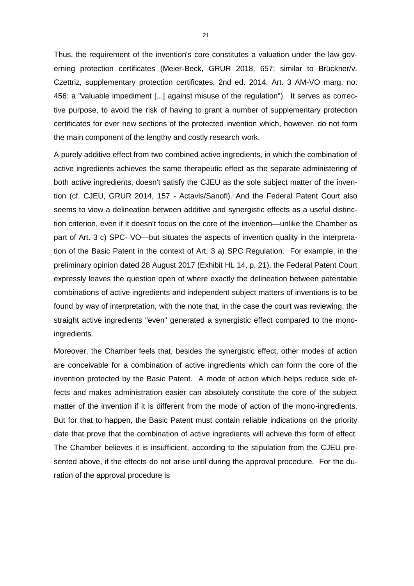Thus, the requirement of the invention's core constitutes a valuation under the law governing protection certificates (Meier-Beck, GRUR 2018, 657; similar to Brückner/v. Czettriz, supplementary protection certificates, 2nd ed. 2014, Art. 3 AM-VO marg. no. 456: a "valuable impediment [...] against misuse of the regulation"). It serves as corrective purpose, to avoid the risk of having to grant a number of supplementary protection certificates for ever new sections of the protected invention which, however, do not form the main component of the lengthy and costly research work.

A purely additive effect from two combined active ingredients, in which the combination of active ingredients achieves the same therapeutic effect as the separate administering of both active ingredients, doesn't satisfy the CJEU as the sole subject matter of the invention (cf. CJEU, GRUR 2014, 157 - Actavls/Sanofl). And the Federal Patent Court also seems to view a delineation between additive and synergistic effects as a useful distinction criterion, even if it doesn't focus on the core of the invention—unlike the Chamber as part of Art. 3 c) SPC- VO—but situates the aspects of invention quality in the interpretation of the Basic Patent in the context of Art. 3 a) SPC Regulation. For example, in the preliminary opinion dated 28 August 2017 (Exhibit HL 14, p. 21), the Federal Patent Court expressly leaves the question open of where exactly the delineation between patentable combinations of active ingredients and independent subject matters of inventions is to be found by way of interpretation, with the note that, in the case the court was reviewing, the straight active ingredients "even" generated a synergistic effect compared to the monoingredients.

Moreover, the Chamber feels that, besides the synergistic effect, other modes of action are conceivable for a combination of active ingredients which can form the core of the invention protected by the Basic Patent. A mode of action which helps reduce side effects and makes administration easier can absolutely constitute the core of the subject matter of the invention if it is different from the mode of action of the mono-ingredients. But for that to happen, the Basic Patent must contain reliable indications on the priority date that prove that the combination of active ingredients will achieve this form of effect. The Chamber believes it is insufficient, according to the stipulation from the CJEU presented above, if the effects do not arise until during the approval procedure. For the duration of the approval procedure is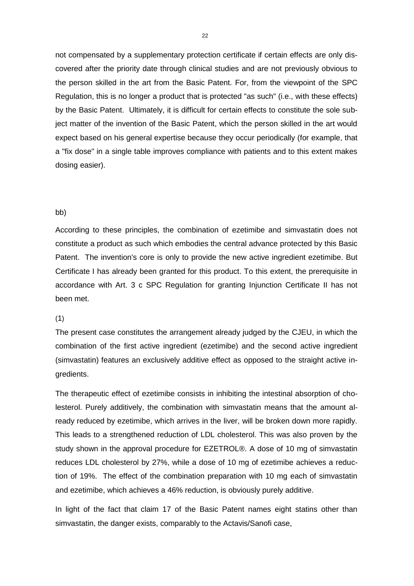not compensated by a supplementary protection certificate if certain effects are only discovered after the priority date through clinical studies and are not previously obvious to the person skilled in the art from the Basic Patent. For, from the viewpoint of the SPC Regulation, this is no longer a product that is protected "as such" (i.e., with these effects) by the Basic Patent. Ultimately, it is difficult for certain effects to constitute the sole subject matter of the invention of the Basic Patent, which the person skilled in the art would expect based on his general expertise because they occur periodically (for example, that a "fix dose" in a single table improves compliance with patients and to this extent makes dosing easier).

#### bb)

According to these principles, the combination of ezetimibe and simvastatin does not constitute a product as such which embodies the central advance protected by this Basic Patent. The invention's core is only to provide the new active ingredient ezetimibe. But Certificate I has already been granted for this product. To this extent, the prerequisite in accordance with Art. 3 c SPC Regulation for granting Injunction Certificate II has not been met.

#### (1)

The present case constitutes the arrangement already judged by the CJEU, in which the combination of the first active ingredient (ezetimibe) and the second active ingredient (simvastatin) features an exclusively additive effect as opposed to the straight active ingredients.

The therapeutic effect of ezetimibe consists in inhibiting the intestinal absorption of cholesterol. Purely additively, the combination with simvastatin means that the amount already reduced by ezetimibe, which arrives in the liver, will be broken down more rapidly. This leads to a strengthened reduction of LDL cholesterol. This was also proven by the study shown in the approval procedure for EZETROL®. A dose of 10 mg of simvastatin reduces LDL cholesterol by 27%, while a dose of 10 mg of ezetimibe achieves a reduction of 19%. The effect of the combination preparation with 10 mg each of simvastatin and ezetimibe, which achieves a 46% reduction, is obviously purely additive.

In light of the fact that claim 17 of the Basic Patent names eight statins other than simvastatin, the danger exists, comparably to the Actavis/Sanofi case,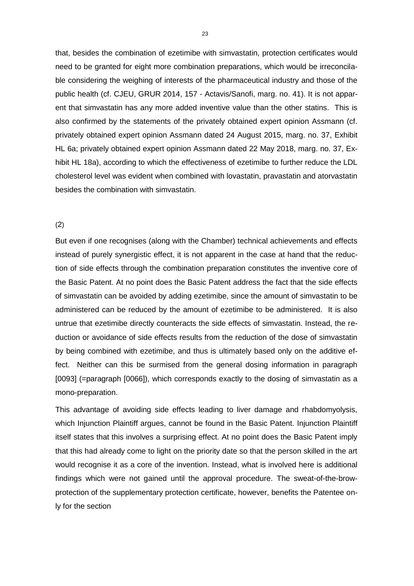that, besides the combination of ezetimibe with simvastatin, protection certificates would need to be granted for eight more combination preparations, which would be irreconcilable considering the weighing of interests of the pharmaceutical industry and those of the public health (cf. CJEU, GRUR 2014, 157 - Actavis/Sanofi, marg. no. 41). It is not apparent that simvastatin has any more added inventive value than the other statins. This is also confirmed by the statements of the privately obtained expert opinion Assmann (cf. privately obtained expert opinion Assmann dated 24 August 2015, marg. no. 37, Exhibit HL 6a; privately obtained expert opinion Assmann dated 22 May 2018, marg. no. 37, Exhibit HL 18a), according to which the effectiveness of ezetimibe to further reduce the LDL cholesterol level was evident when combined with lovastatin, pravastatin and atorvastatin besides the combination with simvastatin.

## (2)

But even if one recognises (along with the Chamber) technical achievements and effects instead of purely synergistic effect, it is not apparent in the case at hand that the reduction of side effects through the combination preparation constitutes the inventive core of the Basic Patent. At no point does the Basic Patent address the fact that the side effects of simvastatin can be avoided by adding ezetimibe, since the amount of simvastatin to be administered can be reduced by the amount of ezetimibe to be administered. It is also untrue that ezetimibe directly counteracts the side effects of simvastatin. Instead, the reduction or avoidance of side effects results from the reduction of the dose of simvastatin by being combined with ezetimibe, and thus is ultimately based only on the additive effect. Neither can this be surmised from the general dosing information in paragraph [0093] (=paragraph [0066]), which corresponds exactly to the dosing of simvastatin as a mono-preparation.

This advantage of avoiding side effects leading to liver damage and rhabdomyolysis, which Injunction Plaintiff argues, cannot be found in the Basic Patent. Injunction Plaintiff itself states that this involves a surprising effect. At no point does the Basic Patent imply that this had already come to light on the priority date so that the person skilled in the art would recognise it as a core of the invention. Instead, what is involved here is additional findings which were not gained until the approval procedure. The sweat-of-the-browprotection of the supplementary protection certificate, however, benefits the Patentee only for the section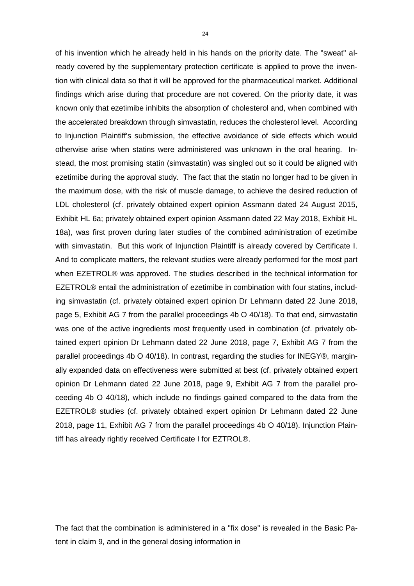of his invention which he already held in his hands on the priority date. The "sweat" already covered by the supplementary protection certificate is applied to prove the invention with clinical data so that it will be approved for the pharmaceutical market. Additional findings which arise during that procedure are not covered. On the priority date, it was known only that ezetimibe inhibits the absorption of cholesterol and, when combined with the accelerated breakdown through simvastatin, reduces the cholesterol level. According to Injunction Plaintiff's submission, the effective avoidance of side effects which would otherwise arise when statins were administered was unknown in the oral hearing. Instead, the most promising statin (simvastatin) was singled out so it could be aligned with ezetimibe during the approval study. The fact that the statin no longer had to be given in the maximum dose, with the risk of muscle damage, to achieve the desired reduction of LDL cholesterol (cf. privately obtained expert opinion Assmann dated 24 August 2015, Exhibit HL 6a; privately obtained expert opinion Assmann dated 22 May 2018, Exhibit HL 18a), was first proven during later studies of the combined administration of ezetimibe with simvastatin. But this work of Injunction Plaintiff is already covered by Certificate I. And to complicate matters, the relevant studies were already performed for the most part when EZETROL® was approved. The studies described in the technical information for EZETROL® entail the administration of ezetimibe in combination with four statins, including simvastatin (cf. privately obtained expert opinion Dr Lehmann dated 22 June 2018, page 5, Exhibit AG 7 from the parallel proceedings 4b O 40/18). To that end, simvastatin was one of the active ingredients most frequently used in combination (cf. privately obtained expert opinion Dr Lehmann dated 22 June 2018, page 7, Exhibit AG 7 from the parallel proceedings 4b O 40/18). In contrast, regarding the studies for INEGY®, marginally expanded data on effectiveness were submitted at best (cf. privately obtained expert opinion Dr Lehmann dated 22 June 2018, page 9, Exhibit AG 7 from the parallel proceeding 4b O 40/18), which include no findings gained compared to the data from the EZETROL® studies (cf. privately obtained expert opinion Dr Lehmann dated 22 June 2018, page 11, Exhibit AG 7 from the parallel proceedings 4b O 40/18). Injunction Plaintiff has already rightly received Certificate I for EZTROL®.

The fact that the combination is administered in a "fix dose" is revealed in the Basic Patent in claim 9, and in the general dosing information in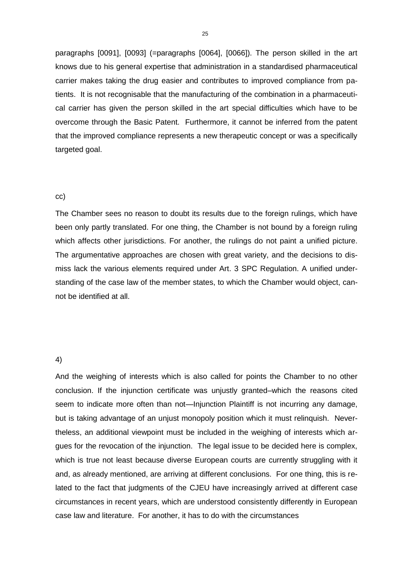paragraphs [0091], [0093] (=paragraphs [0064], [0066]). The person skilled in the art knows due to his general expertise that administration in a standardised pharmaceutical carrier makes taking the drug easier and contributes to improved compliance from patients. It is not recognisable that the manufacturing of the combination in a pharmaceutical carrier has given the person skilled in the art special difficulties which have to be overcome through the Basic Patent. Furthermore, it cannot be inferred from the patent that the improved compliance represents a new therapeutic concept or was a specifically targeted goal.

#### cc)

The Chamber sees no reason to doubt its results due to the foreign rulings, which have been only partly translated. For one thing, the Chamber is not bound by a foreign ruling which affects other jurisdictions. For another, the rulings do not paint a unified picture. The argumentative approaches are chosen with great variety, and the decisions to dismiss lack the various elements required under Art. 3 SPC Regulation. A unified understanding of the case law of the member states, to which the Chamber would object, cannot be identified at all.

## 4)

And the weighing of interests which is also called for points the Chamber to no other conclusion. If the injunction certificate was unjustly granted–which the reasons cited seem to indicate more often than not—Injunction Plaintiff is not incurring any damage, but is taking advantage of an unjust monopoly position which it must relinquish. Nevertheless, an additional viewpoint must be included in the weighing of interests which argues for the revocation of the injunction. The legal issue to be decided here is complex, which is true not least because diverse European courts are currently struggling with it and, as already mentioned, are arriving at different conclusions. For one thing, this is related to the fact that judgments of the CJEU have increasingly arrived at different case circumstances in recent years, which are understood consistently differently in European case law and literature. For another, it has to do with the circumstances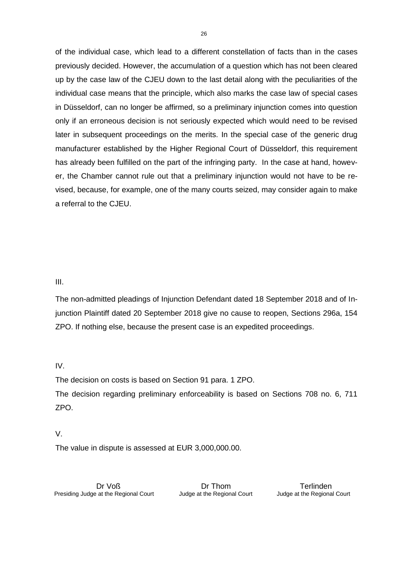of the individual case, which lead to a different constellation of facts than in the cases previously decided. However, the accumulation of a question which has not been cleared up by the case law of the CJEU down to the last detail along with the peculiarities of the individual case means that the principle, which also marks the case law of special cases in Düsseldorf, can no longer be affirmed, so a preliminary injunction comes into question only if an erroneous decision is not seriously expected which would need to be revised later in subsequent proceedings on the merits. In the special case of the generic drug manufacturer established by the Higher Regional Court of Düsseldorf, this requirement has already been fulfilled on the part of the infringing party. In the case at hand, however, the Chamber cannot rule out that a preliminary injunction would not have to be revised, because, for example, one of the many courts seized, may consider again to make a referral to the CJEU.

III.

The non-admitted pleadings of Injunction Defendant dated 18 September 2018 and of Injunction Plaintiff dated 20 September 2018 give no cause to reopen, Sections 296a, 154 ZPO. If nothing else, because the present case is an expedited proceedings.

IV.

The decision on costs is based on Section 91 para. 1 ZPO.

The decision regarding preliminary enforceability is based on Sections 708 no. 6, 711 ZPO.

V.

The value in dispute is assessed at EUR 3,000,000.00.

Dr Voß Presiding Judge at the Regional Court

Dr Thom Judge at the Regional Court

Terlinden Judge at the Regional Court